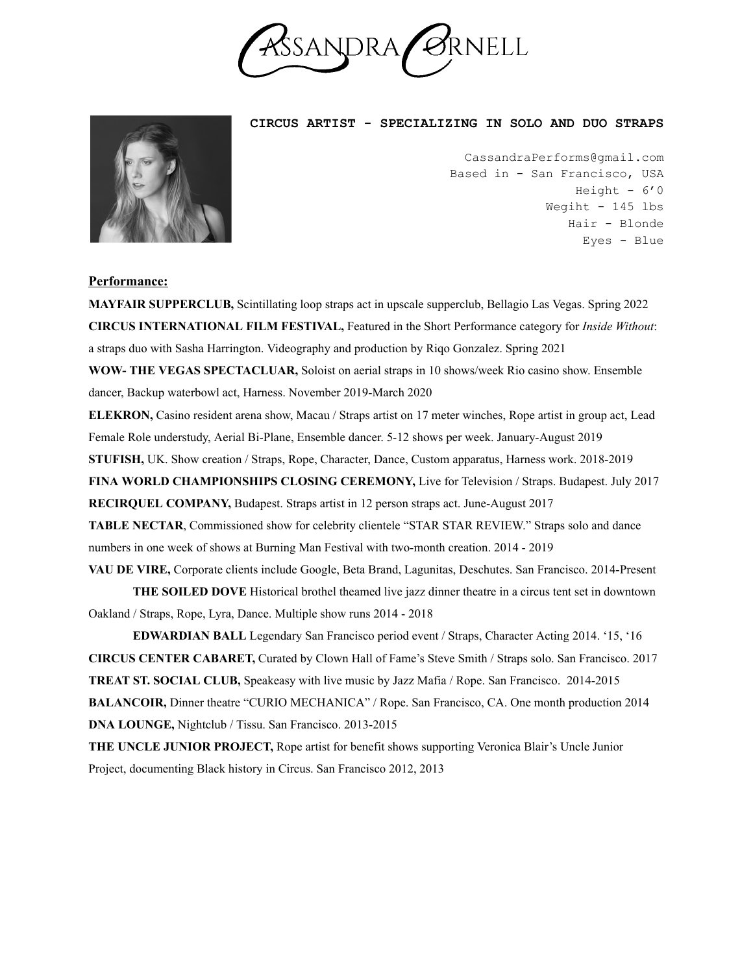

**CIRCUS ARTIST - SPECIALIZING IN SOLO AND DUO STRAPS**

CassandraPerforms@gmail.com Based in - San Francisco, USA Height  $-6'0$ Wegiht - 145 lbs Hair - Blonde Eyes - Blue

## **Performance:**

**MAYFAIR SUPPERCLUB,** Scintillating loop straps act in upscale supperclub, Bellagio Las Vegas. Spring 2022 **CIRCUS INTERNATIONAL FILM FESTIVAL,** Featured in the Short Performance category for *Inside Without*: a straps duo with Sasha Harrington. Videography and production by Riqo Gonzalez. Spring 2021 **WOW- THE VEGAS SPECTACLUAR,** Soloist on aerial straps in 10 shows/week Rio casino show. Ensemble dancer, Backup waterbowl act, Harness. November 2019-March 2020 **ELEKRON,** Casino resident arena show, Macau / Straps artist on 17 meter winches, Rope artist in group act, Lead Female Role understudy, Aerial Bi-Plane, Ensemble dancer. 5-12 shows per week. January-August 2019 **STUFISH,** UK. Show creation / Straps, Rope, Character, Dance, Custom apparatus, Harness work. 2018-2019 **FINA WORLD CHAMPIONSHIPS CLOSING CEREMONY,** Live for Television / Straps. Budapest. July 2017 **RECIRQUEL COMPANY,** Budapest. Straps artist in 12 person straps act. June-August 2017 **TABLE NECTAR**, Commissioned show for celebrity clientele "STAR STAR REVIEW." Straps solo and dance numbers in one week of shows at Burning Man Festival with two-month creation. 2014 - 2019 **VAU DE VIRE,** Corporate clients include Google, Beta Brand, Lagunitas, Deschutes. San Francisco. 2014-Present

**THE SOILED DOVE** Historical brothel theamed live jazz dinner theatre in a circus tent set in downtown Oakland / Straps, Rope, Lyra, Dance. Multiple show runs 2014 - 2018

**EDWARDIAN BALL** Legendary San Francisco period event / Straps, Character Acting 2014. '15, '16 **CIRCUS CENTER CABARET,** Curated by Clown Hall of Fame's Steve Smith / Straps solo. San Francisco. 2017 **TREAT ST. SOCIAL CLUB,** Speakeasy with live music by Jazz Mafia / Rope. San Francisco. 2014-2015 **BALANCOIR,** Dinner theatre "CURIO MECHANICA" / Rope. San Francisco, CA. One month production 2014 **DNA LOUNGE,** Nightclub / Tissu. San Francisco. 2013-2015

**THE UNCLE JUNIOR PROJECT,** Rope artist for benefit shows supporting Veronica Blair's Uncle Junior Project, documenting Black history in Circus. San Francisco 2012, 2013